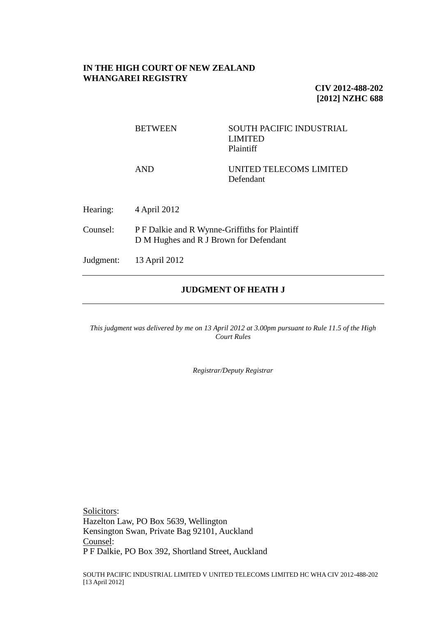## **IN THE HIGH COURT OF NEW ZEALAND WHANGAREI REGISTRY**

**CIV 2012-488-202 [2012] NZHC 688**

|           | <b>BETWEEN</b>                                                                           | <b>SOUTH PACIFIC INDUSTRIAL</b><br><b>LIMITED</b><br>Plaintiff |
|-----------|------------------------------------------------------------------------------------------|----------------------------------------------------------------|
|           | <b>AND</b>                                                                               | UNITED TELECOMS LIMITED<br>Defendant                           |
| Hearing:  | 4 April 2012                                                                             |                                                                |
| Counsel:  | P F Dalkie and R Wynne-Griffiths for Plaintiff<br>D M Hughes and R J Brown for Defendant |                                                                |
| Judgment: | 13 April 2012                                                                            |                                                                |
|           |                                                                                          |                                                                |

# **JUDGMENT OF HEATH J**

*This judgment was delivered by me on 13 April 2012 at 3.00pm pursuant to Rule 11.5 of the High Court Rules*

*Registrar/Deputy Registrar*

Solicitors: Hazelton Law, PO Box 5639, Wellington Kensington Swan, Private Bag 92101, Auckland Counsel: P F Dalkie, PO Box 392, Shortland Street, Auckland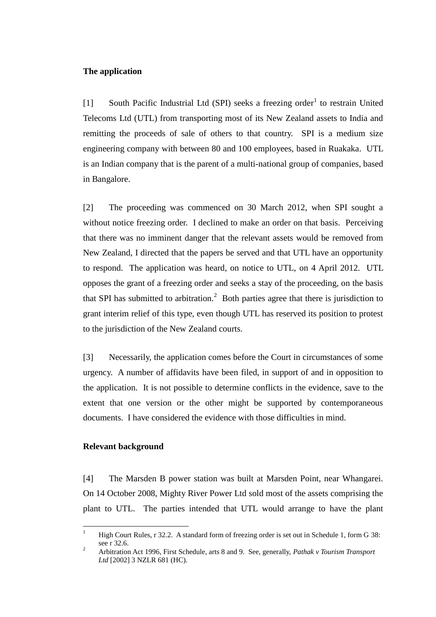## **The application**

[1] South Pacific Industrial Ltd (SPI) seeks a freezing order<sup>1</sup> to restrain United Telecoms Ltd (UTL) from transporting most of its New Zealand assets to India and remitting the proceeds of sale of others to that country. SPI is a medium size engineering company with between 80 and 100 employees, based in Ruakaka. UTL is an Indian company that is the parent of a multi-national group of companies, based in Bangalore.

[2] The proceeding was commenced on 30 March 2012, when SPI sought a without notice freezing order. I declined to make an order on that basis. Perceiving that there was no imminent danger that the relevant assets would be removed from New Zealand, I directed that the papers be served and that UTL have an opportunity to respond. The application was heard, on notice to UTL, on 4 April 2012. UTL opposes the grant of a freezing order and seeks a stay of the proceeding, on the basis that SPI has submitted to arbitration.<sup>2</sup> Both parties agree that there is jurisdiction to grant interim relief of this type, even though UTL has reserved its position to protest to the jurisdiction of the New Zealand courts.

[3] Necessarily, the application comes before the Court in circumstances of some urgency. A number of affidavits have been filed, in support of and in opposition to the application. It is not possible to determine conflicts in the evidence, save to the extent that one version or the other might be supported by contemporaneous documents. I have considered the evidence with those difficulties in mind.

## **Relevant background**

[4] The Marsden B power station was built at Marsden Point, near Whangarei. On 14 October 2008, Mighty River Power Ltd sold most of the assets comprising the plant to UTL. The parties intended that UTL would arrange to have the plant

 $\overline{1}$ <sup>1</sup> High Court Rules, r 32.2. A standard form of freezing order is set out in Schedule 1, form G 38: see r 32.6.

<sup>2</sup> Arbitration Act 1996, First Schedule, arts 8 and 9. See, generally, *Pathak v Tourism Transport Ltd* [2002] 3 NZLR 681 (HC).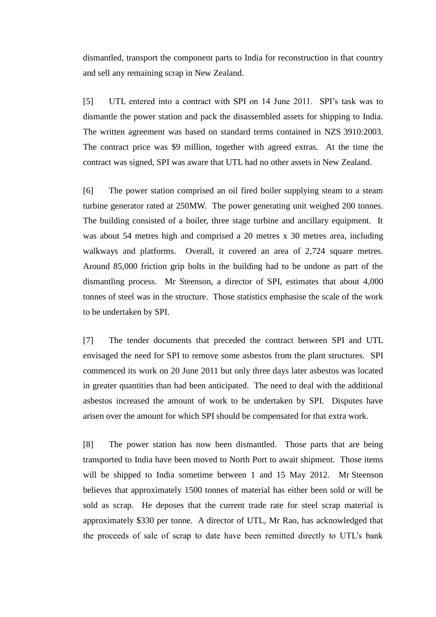dismantled, transport the component parts to India for reconstruction in that country and sell any remaining scrap in New Zealand.

[5] UTL entered into a contract with SPI on 14 June 2011. SPI's task was to dismantle the power station and pack the disassembled assets for shipping to India. The written agreement was based on standard terms contained in NZS 3910:2003. The contract price was \$9 million, together with agreed extras. At the time the contract was signed, SPI was aware that UTL had no other assets in New Zealand.

[6] The power station comprised an oil fired boiler supplying steam to a steam turbine generator rated at 250MW. The power generating unit weighed 200 tonnes. The building consisted of a boiler, three stage turbine and ancillary equipment. It was about 54 metres high and comprised a 20 metres x 30 metres area, including walkways and platforms. Overall, it covered an area of 2,724 square metres. Around 85,000 friction grip bolts in the building had to be undone as part of the dismantling process. Mr Steenson, a director of SPI, estimates that about 4,000 tonnes of steel was in the structure. Those statistics emphasise the scale of the work to be undertaken by SPI.

[7] The tender documents that preceded the contract between SPI and UTL envisaged the need for SPI to remove some asbestos from the plant structures. SPI commenced its work on 20 June 2011 but only three days later asbestos was located in greater quantities than had been anticipated. The need to deal with the additional asbestos increased the amount of work to be undertaken by SPI. Disputes have arisen over the amount for which SPI should be compensated for that extra work.

<span id="page-2-0"></span>[8] The power station has now been dismantled. Those parts that are being transported to India have been moved to North Port to await shipment. Those items will be shipped to India sometime between 1 and 15 May 2012. Mr Steenson believes that approximately 1500 tonnes of material has either been sold or will be sold as scrap. He deposes that the current trade rate for steel scrap material is approximately \$330 per tonne. A director of UTL, Mr Rao, has acknowledged that the proceeds of sale of scrap to date have been remitted directly to UTL's bank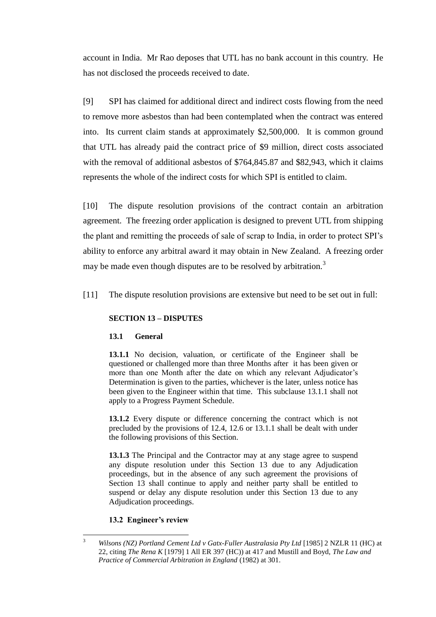account in India. Mr Rao deposes that UTL has no bank account in this country. He has not disclosed the proceeds received to date.

<span id="page-3-1"></span>[9] SPI has claimed for additional direct and indirect costs flowing from the need to remove more asbestos than had been contemplated when the contract was entered into. Its current claim stands at approximately \$2,500,000. It is common ground that UTL has already paid the contract price of \$9 million, direct costs associated with the removal of additional asbestos of \$764,845.87 and \$82,943, which it claims represents the whole of the indirect costs for which SPI is entitled to claim.

[10] The dispute resolution provisions of the contract contain an arbitration agreement. The freezing order application is designed to prevent UTL from shipping the plant and remitting the proceeds of sale of scrap to India, in order to protect SPI's ability to enforce any arbitral award it may obtain in New Zealand. A freezing order may be made even though disputes are to be resolved by arbitration.<sup>3</sup>

<span id="page-3-0"></span>[11] The dispute resolution provisions are extensive but need to be set out in full:

## **SECTION 13 – DISPUTES**

## **13.1 General**

**13.1.1** No decision, valuation, or certificate of the Engineer shall be questioned or challenged more than three Months after it has been given or more than one Month after the date on which any relevant Adjudicator's Determination is given to the parties, whichever is the later, unless notice has been given to the Engineer within that time. This subclause 13.1.1 shall not apply to a Progress Payment Schedule.

**13.1.2** Every dispute or difference concerning the contract which is not precluded by the provisions of 12.4, 12.6 or 13.1.1 shall be dealt with under the following provisions of this Section.

**13.1.3** The Principal and the Contractor may at any stage agree to suspend any dispute resolution under this Section 13 due to any Adjudication proceedings, but in the absence of any such agreement the provisions of Section 13 shall continue to apply and neither party shall be entitled to suspend or delay any dispute resolution under this Section 13 due to any Adjudication proceedings.

## **13.2 Engineer's review**

 $\overline{3}$ <sup>3</sup> *Wilsons (NZ) Portland Cement Ltd v Gatx-Fuller Australasia Pty Ltd* [1985] 2 NZLR 11 (HC) at 22, citing *The Rena K* [1979] 1 All ER 397 (HC)) at 417 and Mustill and Boyd, *The Law and Practice of Commercial Arbitration in England* (1982) at 301.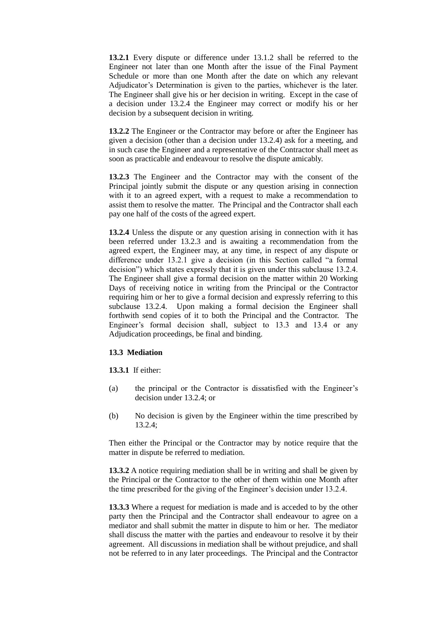**13.2.1** Every dispute or difference under 13.1.2 shall be referred to the Engineer not later than one Month after the issue of the Final Payment Schedule or more than one Month after the date on which any relevant Adjudicator's Determination is given to the parties, whichever is the later. The Engineer shall give his or her decision in writing. Except in the case of a decision under 13.2.4 the Engineer may correct or modify his or her decision by a subsequent decision in writing.

**13.2.2** The Engineer or the Contractor may before or after the Engineer has given a decision (other than a decision under 13.2.4) ask for a meeting, and in such case the Engineer and a representative of the Contractor shall meet as soon as practicable and endeavour to resolve the dispute amicably.

**13.2.3** The Engineer and the Contractor may with the consent of the Principal jointly submit the dispute or any question arising in connection with it to an agreed expert, with a request to make a recommendation to assist them to resolve the matter. The Principal and the Contractor shall each pay one half of the costs of the agreed expert.

**13.2.4** Unless the dispute or any question arising in connection with it has been referred under 13.2.3 and is awaiting a recommendation from the agreed expert, the Engineer may, at any time, in respect of any dispute or difference under 13.2.1 give a decision (in this Section called "a formal decision") which states expressly that it is given under this subclause 13.2.4. The Engineer shall give a formal decision on the matter within 20 Working Days of receiving notice in writing from the Principal or the Contractor requiring him or her to give a formal decision and expressly referring to this subclause 13.2.4. Upon making a formal decision the Engineer shall forthwith send copies of it to both the Principal and the Contractor. The Engineer's formal decision shall, subject to 13.3 and 13.4 or any Adjudication proceedings, be final and binding.

### **13.3 Mediation**

**13.3.1** If either:

- (a) the principal or the Contractor is dissatisfied with the Engineer's decision under 13.2.4; or
- (b) No decision is given by the Engineer within the time prescribed by 13.2.4;

Then either the Principal or the Contractor may by notice require that the matter in dispute be referred to mediation.

**13.3.2** A notice requiring mediation shall be in writing and shall be given by the Principal or the Contractor to the other of them within one Month after the time prescribed for the giving of the Engineer's decision under 13.2.4.

**13.3.3** Where a request for mediation is made and is acceded to by the other party then the Principal and the Contractor shall endeavour to agree on a mediator and shall submit the matter in dispute to him or her. The mediator shall discuss the matter with the parties and endeavour to resolve it by their agreement. All discussions in mediation shall be without prejudice, and shall not be referred to in any later proceedings. The Principal and the Contractor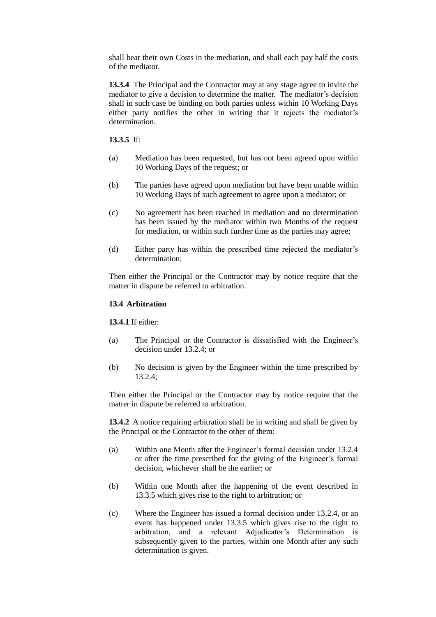shall bear their own Costs in the mediation, and shall each pay half the costs of the mediator.

**13.3.4** The Principal and the Contractor may at any stage agree to invite the mediator to give a decision to determine the matter. The mediator's decision shall in such case be binding on both parties unless within 10 Working Days either party notifies the other in writing that it rejects the mediator's determination.

**13.3.5** If:

- (a) Mediation has been requested, but has not been agreed upon within 10 Working Days of the request; or
- (b) The parties have agreed upon mediation but have been unable within 10 Working Days of such agreement to agree upon a mediator; or
- (c) No agreement has been reached in mediation and no determination has been issued by the mediator within two Months of the request for mediation, or within such further time as the parties may agree;
- (d) Either party has within the prescribed time rejected the mediator's determination;

Then either the Principal or the Contractor may by notice require that the matter in dispute be referred to arbitration.

#### **13.4 Arbitration**

**13.4.1** If either:

- (a) The Principal or the Contractor is dissatisfied with the Engineer's decision under 13.2.4; or
- (b) No decision is given by the Engineer within the time prescribed by 13.2.4;

Then either the Principal or the Contractor may by notice require that the matter in dispute be referred to arbitration.

**13.4.2** A notice requiring arbitration shall be in writing and shall be given by the Principal or the Contractor to the other of them:

- (a) Within one Month after the Engineer's formal decision under 13.2.4 or after the time prescribed for the giving of the Engineer's formal decision, whichever shall be the earlier; or
- (b) Within one Month after the happening of the event described in 13.3.5 which gives rise to the right to arbitration; or
- (c) Where the Engineer has issued a formal decision under 13.2.4, or an event has happened under 13.3.5 which gives rise to the right to arbitration, and a relevant Adjudicator's Determination is subsequently given to the parties, within one Month after any such determination is given.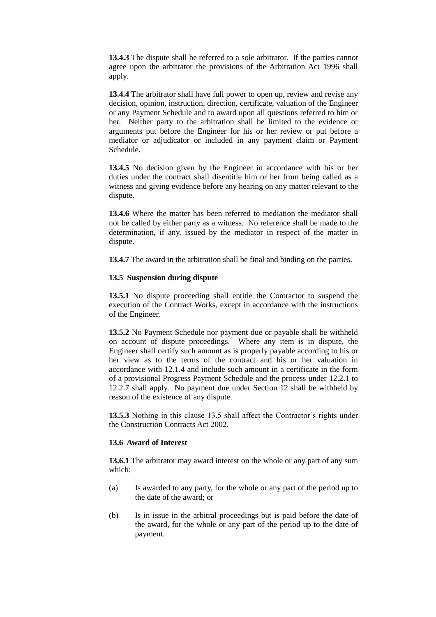**13.4.3** The dispute shall be referred to a sole arbitrator. If the parties cannot agree upon the arbitrator the provisions of the Arbitration Act 1996 shall apply.

**13.4.4** The arbitrator shall have full power to open up, review and revise any decision, opinion, instruction, direction, certificate, valuation of the Engineer or any Payment Schedule and to award upon all questions referred to him or her. Neither party to the arbitration shall be limited to the evidence or arguments put before the Engineer for his or her review or put before a mediator or adjudicator or included in any payment claim or Payment Schedule.

**13.4.5** No decision given by the Engineer in accordance with his or her duties under the contract shall disentitle him or her from being called as a witness and giving evidence before any hearing on any matter relevant to the dispute.

**13.4.6** Where the matter has been referred to mediation the mediator shall not be called by either party as a witness. No reference shall be made to the determination, if any, issued by the mediator in respect of the matter in dispute.

**13.4.7** The award in the arbitration shall be final and binding on the parties.

#### **13.5 Suspension during dispute**

**13.5.1** No dispute proceeding shall entitle the Contractor to suspend the execution of the Contract Works, except in accordance with the instructions of the Engineer.

**13.5.2** No Payment Schedule nor payment due or payable shall be withheld on account of dispute proceedings. Where any item is in dispute, the Engineer shall certify such amount as is properly payable according to his or her view as to the terms of the contract and his or her valuation in accordance with 12.1.4 and include such amount in a certificate in the form of a provisional Progress Payment Schedule and the process under 12.2.1 to 12.2.7 shall apply. No payment due under Section 12 shall be withheld by reason of the existence of any dispute.

**13.5.3** Nothing in this clause 13.5 shall affect the Contractor's rights under the Construction Contracts Act 2002.

#### **13.6 Award of Interest**

**13.6.1** The arbitrator may award interest on the whole or any part of any sum which:

- (a) Is awarded to any party, for the whole or any part of the period up to the date of the award; or
- (b) Is in issue in the arbitral proceedings but is paid before the date of the award, for the whole or any part of the period up to the date of payment.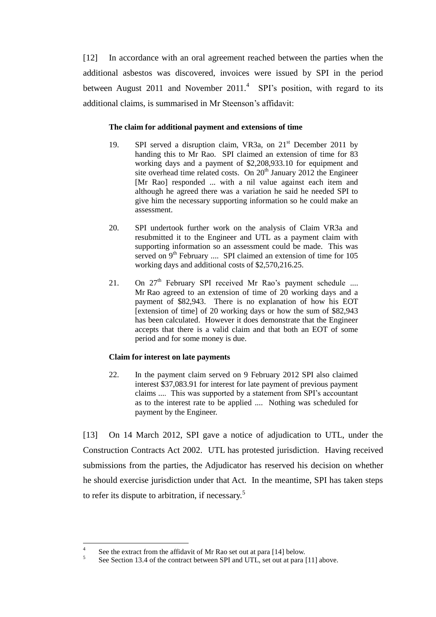[12] In accordance with an oral agreement reached between the parties when the additional asbestos was discovered, invoices were issued by SPI in the period between August 2011 and November 2011. $4$  SPI's position, with regard to its additional claims, is summarised in Mr Steenson's affidavit:

## **The claim for additional payment and extensions of time**

- 19. SPI served a disruption claim, VR3a, on 21<sup>st</sup> December 2011 by handing this to Mr Rao. SPI claimed an extension of time for 83 working days and a payment of \$2,208,933.10 for equipment and site overhead time related costs. On  $20<sup>th</sup>$  January 2012 the Engineer [Mr Rao] responded ... with a nil value against each item and although he agreed there was a variation he said he needed SPI to give him the necessary supporting information so he could make an assessment.
- 20. SPI undertook further work on the analysis of Claim VR3a and resubmitted it to the Engineer and UTL as a payment claim with supporting information so an assessment could be made. This was served on  $9<sup>th</sup>$  February .... SPI claimed an extension of time for 105 working days and additional costs of \$2,570,216.25.
- 21. On  $27<sup>th</sup>$  February SPI received Mr Rao's payment schedule .... Mr Rao agreed to an extension of time of 20 working days and a payment of \$82,943. There is no explanation of how his EOT [extension of time] of 20 working days or how the sum of \$82,943 has been calculated. However it does demonstrate that the Engineer accepts that there is a valid claim and that both an EOT of some period and for some money is due.

## **Claim for interest on late payments**

22. In the payment claim served on 9 February 2012 SPI also claimed interest \$37,083.91 for interest for late payment of previous payment claims .... This was supported by a statement from SPI's accountant as to the interest rate to be applied .... Nothing was scheduled for payment by the Engineer.

[13] On 14 March 2012, SPI gave a notice of adjudication to UTL, under the Construction Contracts Act 2002. UTL has protested jurisdiction. Having received submissions from the parties, the Adjudicator has reserved his decision on whether he should exercise jurisdiction under that Act. In the meantime, SPI has taken steps to refer its dispute to arbitration, if necessary.<sup>5</sup>

 $\frac{1}{4}$ See the extract from the affidavit of Mr Rao set out at para [\[14\]](#page-8-0) below.

<sup>5</sup> See Section 13.4 of the contract between SPI and UTL, set out at para [\[11\]](#page-3-0) above.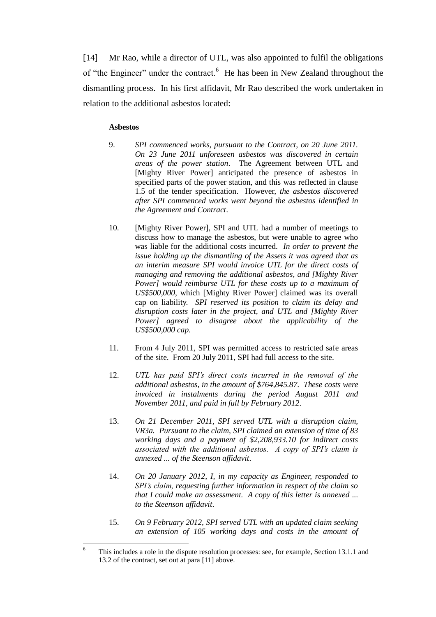<span id="page-8-0"></span>[14] Mr Rao, while a director of UTL, was also appointed to fulfil the obligations of "the Engineer" under the contract.<sup>6</sup> He has been in New Zealand throughout the dismantling process. In his first affidavit, Mr Rao described the work undertaken in relation to the additional asbestos located:

### **Asbestos**

- 9. *SPI commenced works, pursuant to the Contract, on 20 June 2011. On 23 June 2011 unforeseen asbestos was discovered in certain areas of the power station*. The Agreement between UTL and [Mighty River Power] anticipated the presence of asbestos in specified parts of the power station, and this was reflected in clause 1.5 of the tender specification. However, *the asbestos discovered after SPI commenced works went beyond the asbestos identified in the Agreement and Contract*.
- 10. [Mighty River Power], SPI and UTL had a number of meetings to discuss how to manage the asbestos, but were unable to agree who was liable for the additional costs incurred. *In order to prevent the issue holding up the dismantling of the Assets it was agreed that as an interim measure SPI would invoice UTL for the direct costs of managing and removing the additional asbestos, and [Mighty River Power] would reimburse UTL for these costs up to a maximum of US\$500,000*, which [Mighty River Power] claimed was its overall cap on liability. *SPI reserved its position to claim its delay and disruption costs later in the project, and UTL and [Mighty River Power] agreed to disagree about the applicability of the US\$500,000 cap*.
- 11. From 4 July 2011, SPI was permitted access to restricted safe areas of the site. From 20 July 2011, SPI had full access to the site.
- 12. *UTL has paid SPI's direct costs incurred in the removal of the additional asbestos, in the amount of \$764,845.87. These costs were invoiced in instalments during the period August 2011 and November 2011, and paid in full by February 2012*.
- 13. *On 21 December 2011, SPI served UTL with a disruption claim, VR3a. Pursuant to the claim, SPI claimed an extension of time of 83 working days and a payment of \$2,208,933.10 for indirect costs associated with the additional asbestos. A copy of SPI's claim is annexed ... of the Steenson affidavit*.
- 14. *On 20 January 2012, I, in my capacity as Engineer, responded to SPI's claim, requesting further information in respect of the claim so that I could make an assessment. A copy of this letter is annexed ... to the Steenson affidavit*.
- 15. *On 9 February 2012, SPI served UTL with an updated claim seeking an extension of 105 working days and costs in the amount of*

<sup>6</sup> This includes a role in the dispute resolution processes: see, for example, Section 13.1.1 and 13.2 of the contract, set out at par[a \[11\]](#page-3-0) above.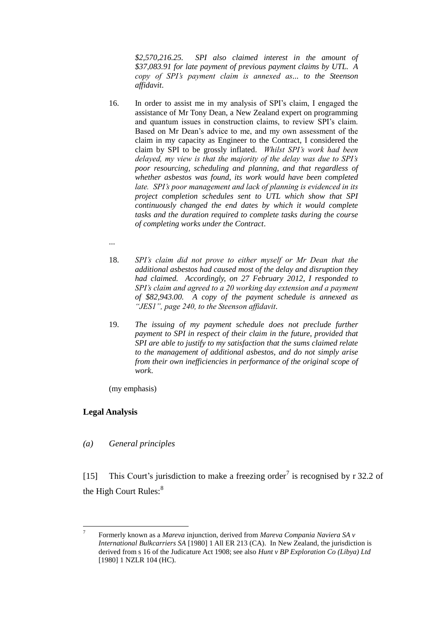*\$2,570,216.25. SPI also claimed interest in the amount of \$37,083.91 for late payment of previous payment claims by UTL. A copy of SPI's payment claim is annexed as... to the Steenson affidavit*.

- 16. In order to assist me in my analysis of SPI's claim, I engaged the assistance of Mr Tony Dean, a New Zealand expert on programming and quantum issues in construction claims, to review SPI's claim. Based on Mr Dean's advice to me, and my own assessment of the claim in my capacity as Engineer to the Contract, I considered the claim by SPI to be grossly inflated. *Whilst SPI's work had been delayed, my view is that the majority of the delay was due to SPI's poor resourcing, scheduling and planning, and that regardless of whether asbestos was found, its work would have been completed late. SPI's poor management and lack of planning is evidenced in its project completion schedules sent to UTL which show that SPI continuously changed the end dates by which it would complete tasks and the duration required to complete tasks during the course of completing works under the Contract*.
- ...
- 18. *SPI's claim did not prove to either myself or Mr Dean that the additional asbestos had caused most of the delay and disruption they had claimed. Accordingly, on 27 February 2012, I responded to SPI's claim and agreed to a 20 working day extension and a payment of \$82,943.00. A copy of the payment schedule is annexed as "JES1", page 240, to the Steenson affidavit*.
- 19. *The issuing of my payment schedule does not preclude further payment to SPI in respect of their claim in the future, provided that SPI are able to justify to my satisfaction that the sums claimed relate to the management of additional asbestos, and do not simply arise from their own inefficiencies in performance of the original scope of work*.

(my emphasis)

# **Legal Analysis**

*(a) General principles*

<span id="page-9-0"></span>[15] This Court's jurisdiction to make a freezing order<sup>7</sup> is recognised by r 32.2 of the High Court Rules:<sup>8</sup>

<sup>-&</sup>lt;br>7 Formerly known as a *Mareva* injunction, derived from *Mareva Compania Naviera SA v International Bulkcarriers SA* [1980] 1 All ER 213 (CA). In New Zealand, the jurisdiction is derived from s 16 of the Judicature Act 1908; see also *Hunt v BP Exploration Co (Libya) Ltd* [1980] 1 NZLR 104 (HC).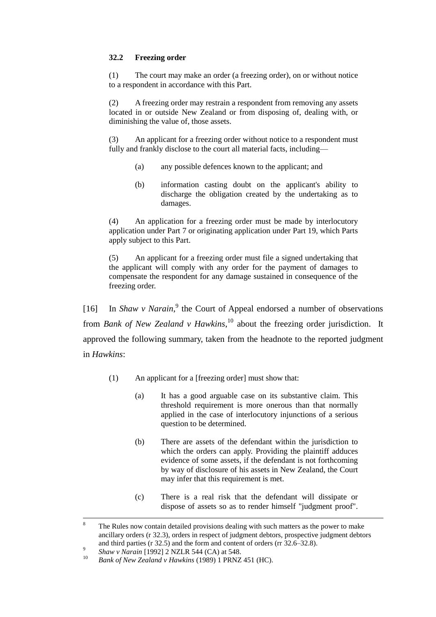## **32.2 Freezing order**

(1) The court may make an order (a freezing order), on or without notice to a respondent in accordance with this Part.

(2) A freezing order may restrain a respondent from removing any assets located in or outside New Zealand or from disposing of, dealing with, or diminishing the value of, those assets.

(3) An applicant for a freezing order without notice to a respondent must fully and frankly disclose to the court all material facts, including—

- (a) any possible defences known to the applicant; and
- (b) information casting doubt on the applicant's ability to discharge the obligation created by the undertaking as to damages.

(4) An application for a freezing order must be made by interlocutory application under Part 7 or originating application under Part 19, which Parts apply subject to this Part.

(5) An applicant for a freezing order must file a signed undertaking that the applicant will comply with any order for the payment of damages to compensate the respondent for any damage sustained in consequence of the freezing order.

<span id="page-10-0"></span>[16] In *Shaw v Narain*,<sup>9</sup> the Court of Appeal endorsed a number of observations from *Bank of New Zealand v Hawkins*, <sup>10</sup> about the freezing order jurisdiction. It approved the following summary, taken from the headnote to the reported judgment in *Hawkins*:

- (1) An applicant for a [freezing order] must show that:
	- (a) It has a good arguable case on its substantive claim. This threshold requirement is more onerous than that normally applied in the case of interlocutory injunctions of a serious question to be determined.
	- (b) There are assets of the defendant within the jurisdiction to which the orders can apply. Providing the plaintiff adduces evidence of some assets, if the defendant is not forthcoming by way of disclosure of his assets in New Zealand, the Court may infer that this requirement is met.
	- (c) There is a real risk that the defendant will dissipate or dispose of assets so as to render himself "judgment proof".

 $\mathbf{R}$ The Rules now contain detailed provisions dealing with such matters as the power to make ancillary orders (r 32.3), orders in respect of judgment debtors, prospective judgment debtors and third parties (r 32.5) and the form and content of orders (rr 32.6–32.8).

<sup>9</sup> *Shaw v Narain* [1992] 2 NZLR 544 (CA) at 548.

<sup>10</sup> *Bank of New Zealand v Hawkins* (1989) 1 PRNZ 451 (HC).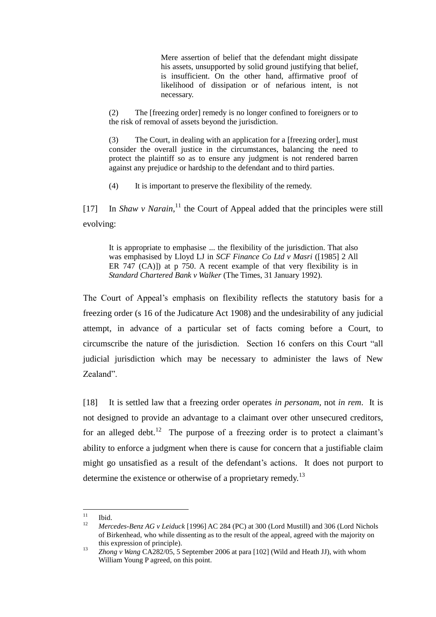Mere assertion of belief that the defendant might dissipate his assets, unsupported by solid ground justifying that belief, is insufficient. On the other hand, affirmative proof of likelihood of dissipation or of nefarious intent, is not necessary.

(2) The [freezing order] remedy is no longer confined to foreigners or to the risk of removal of assets beyond the jurisdiction.

(3) The Court, in dealing with an application for a [freezing order], must consider the overall justice in the circumstances, balancing the need to protect the plaintiff so as to ensure any judgment is not rendered barren against any prejudice or hardship to the defendant and to third parties.

(4) It is important to preserve the flexibility of the remedy.

[17] In *Shaw v Narain*,<sup>11</sup> the Court of Appeal added that the principles were still evolving:

It is appropriate to emphasise ... the flexibility of the jurisdiction. That also was emphasised by Lloyd LJ in *SCF Finance Co Ltd v Masri* ([1985] 2 All ER 747 (CA)]) at p 750. A recent example of that very flexibility is in *Standard Chartered Bank v Walker* (The Times, 31 January 1992).

The Court of Appeal's emphasis on flexibility reflects the statutory basis for a freezing order (s 16 of the Judicature Act 1908) and the undesirability of any judicial attempt, in advance of a particular set of facts coming before a Court, to circumscribe the nature of the jurisdiction. Section 16 confers on this Court "all judicial jurisdiction which may be necessary to administer the laws of New Zealand".

<span id="page-11-0"></span>[18] It is settled law that a freezing order operates *in personam*, not *in rem*. It is not designed to provide an advantage to a claimant over other unsecured creditors, for an alleged debt.<sup>12</sup> The purpose of a freezing order is to protect a claimant's ability to enforce a judgment when there is cause for concern that a justifiable claim might go unsatisfied as a result of the defendant's actions. It does not purport to determine the existence or otherwise of a proprietary remedy.<sup>13</sup>

 $11$  $\frac{11}{12}$  Ibid.

<sup>12</sup> *Mercedes-Benz AG v Leiduck* [1996] AC 284 (PC) at 300 (Lord Mustill) and 306 (Lord Nichols of Birkenhead, who while dissenting as to the result of the appeal, agreed with the majority on this expression of principle).

<sup>13</sup> *Zhong v Wang* CA282/05, 5 September 2006 at para [102] (Wild and Heath JJ), with whom William Young P agreed, on this point.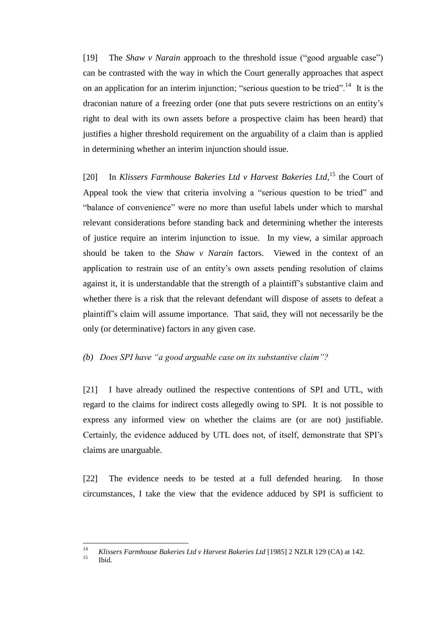[19] The *Shaw v Narain* approach to the threshold issue ("good arguable case") can be contrasted with the way in which the Court generally approaches that aspect on an application for an interim injunction; "serious question to be tried".<sup>14</sup> It is the draconian nature of a freezing order (one that puts severe restrictions on an entity's right to deal with its own assets before a prospective claim has been heard) that justifies a higher threshold requirement on the arguability of a claim than is applied in determining whether an interim injunction should issue.

[20] In *Klissers Farmhouse Bakeries Ltd v Harvest Bakeries Ltd*,<sup>15</sup> the Court of Appeal took the view that criteria involving a "serious question to be tried" and "balance of convenience" were no more than useful labels under which to marshal relevant considerations before standing back and determining whether the interests of justice require an interim injunction to issue. In my view, a similar approach should be taken to the *Shaw v Narain* factors. Viewed in the context of an application to restrain use of an entity's own assets pending resolution of claims against it, it is understandable that the strength of a plaintiff's substantive claim and whether there is a risk that the relevant defendant will dispose of assets to defeat a plaintiff's claim will assume importance. That said, they will not necessarily be the only (or determinative) factors in any given case.

## *(b) Does SPI have "a good arguable case on its substantive claim"?*

[21] I have already outlined the respective contentions of SPI and UTL, with regard to the claims for indirect costs allegedly owing to SPI. It is not possible to express any informed view on whether the claims are (or are not) justifiable. Certainly, the evidence adduced by UTL does not, of itself, demonstrate that SPI's claims are unarguable.

[22] The evidence needs to be tested at a full defended hearing. In those circumstances, I take the view that the evidence adduced by SPI is sufficient to

Ibid.

 $14$ <sup>14</sup> *Klissers Farmhouse Bakeries Ltd v Harvest Bakeries Ltd* [1985] 2 NZLR 129 (CA) at 142.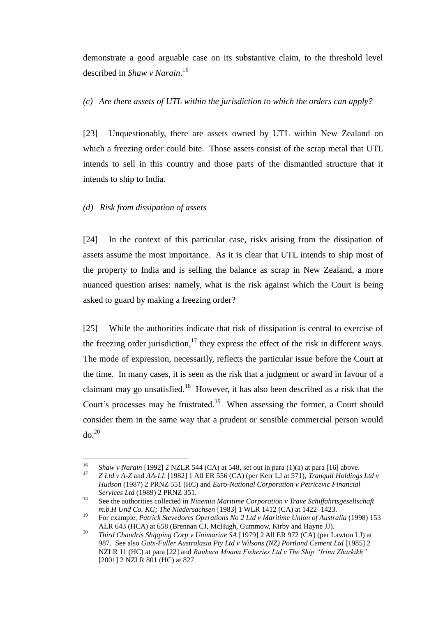demonstrate a good arguable case on its substantive claim, to the threshold level described in *Shaw v Narain*. 16

*(c) Are there assets of UTL within the jurisdiction to which the orders can apply?*

[23] Unquestionably, there are assets owned by UTL within New Zealand on which a freezing order could bite. Those assets consist of the scrap metal that UTL intends to sell in this country and those parts of the dismantled structure that it intends to ship to India.

# *(d) Risk from dissipation of assets*

[24] In the context of this particular case, risks arising from the dissipation of assets assume the most importance. As it is clear that UTL intends to ship most of the property to India and is selling the balance as scrap in New Zealand, a more nuanced question arises: namely, what is the risk against which the Court is being asked to guard by making a freezing order?

<span id="page-13-0"></span>[25] While the authorities indicate that risk of dissipation is central to exercise of the freezing order jurisdiction,<sup>17</sup> they express the effect of the risk in different ways. The mode of expression, necessarily, reflects the particular issue before the Court at the time. In many cases, it is seen as the risk that a judgment or award in favour of a claimant may go unsatisfied.<sup>18</sup> However, it has also been described as a risk that the Court's processes may be frustrated.<sup>19</sup> When assessing the former, a Court should consider them in the same way that a prudent or sensible commercial person would  $d\sigma$ <sup>20</sup>

<sup>16</sup> <sup>16</sup> *Shaw v Narain* [1992] 2 NZLR 544 (CA) at 548, set out in para (1)(a) at par[a \[16\]](#page-10-0) above.

<sup>17</sup> *Z Ltd v A-Z* and *AA-LL* [1982] 1 All ER 556 (CA) (per Kerr LJ at 571), *Tranquil Holdings Ltd v Hudson* (1987) 2 PRNZ 551 (HC) and *Euro-National Corporation v Petricevic Financial Services Ltd* (1989) 2 PRNZ 351.

<sup>18</sup> See the authorities collected in *Ninemia Maritime Corporation v Trave Schiffahrtsgesellschaft m.b.H Und Co. KG; The Niedersachsen* [1983] 1 WLR 1412 (CA) at 1422–1423.

<sup>19</sup> For example, *Patrick Stevedores Operations No 2 Ltd v Maritime Union of Australia* (1998) 153 ALR 643 (HCA) at 658 (Brennan CJ, McHugh, Gummow, Kirby and Hayne JJ).

<sup>20</sup> *Third Chandris Shipping Corp v Unimarine SA* [1979] 2 All ER 972 (CA) (per Lawton LJ) at 987. See also *Gatx-Fuller Australasia Pty Ltd v Wilsons (NZ) Portland Cement Ltd* [1985] 2 NZLR 11 (HC) at para [22] and *Raukura Moana Fisheries Ltd v The Ship "Irina Zharkikh"* [2001] 2 NZLR 801 (HC) at 827.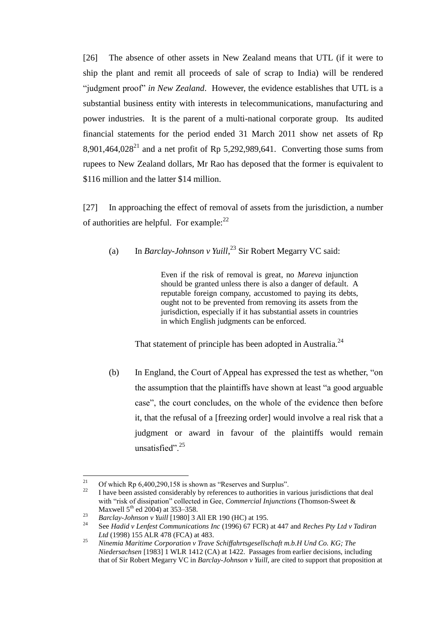[26] The absence of other assets in New Zealand means that UTL (if it were to ship the plant and remit all proceeds of sale of scrap to India) will be rendered "judgment proof" *in New Zealand*. However, the evidence establishes that UTL is a substantial business entity with interests in telecommunications, manufacturing and power industries. It is the parent of a multi-national corporate group. Its audited financial statements for the period ended 31 March 2011 show net assets of Rp 8.901.464,028<sup>21</sup> and a net profit of Rp 5,292,989,641. Converting those sums from rupees to New Zealand dollars, Mr Rao has deposed that the former is equivalent to \$116 million and the latter \$14 million.

[27] In approaching the effect of removal of assets from the jurisdiction, a number of authorities are helpful. For example: $^{22}$ 

(a) In *Barclay-Johnson v Yuill*, <sup>23</sup> Sir Robert Megarry VC said:

Even if the risk of removal is great, no *Mareva* injunction should be granted unless there is also a danger of default. A reputable foreign company, accustomed to paying its debts, ought not to be prevented from removing its assets from the jurisdiction, especially if it has substantial assets in countries in which English judgments can be enforced.

That statement of principle has been adopted in Australia.<sup>24</sup>

(b) In England, the Court of Appeal has expressed the test as whether, "on the assumption that the plaintiffs have shown at least "a good arguable case", the court concludes, on the whole of the evidence then before it, that the refusal of a [freezing order] would involve a real risk that a judgment or award in favour of the plaintiffs would remain unsatisfied".<sup>25</sup>

<sup>21</sup> <sup>21</sup> Of which Rp 6,400,290,158 is shown as "Reserves and Surplus".<br>Later have been assisted considerably by references to surporting in y

I have been assisted considerably by references to authorities in various jurisdictions that deal with "risk of dissipation" collected in Gee, *Commercial Injunctions* (Thomson-Sweet & Maxwell  $5^{th}$  ed 2004) at 353–358.

<sup>&</sup>lt;sup>23</sup> *Barclay-Johnson v Yuill* [1980] 3 All ER 190 (HC) at 195.

<sup>24</sup> See *Hadid v Lenfest Communications Inc* (1996) 67 FCR) at 447 and *Reches Pty Ltd v Tadiran Ltd* (1998) 155 ALR 478 (FCA) at 483.

<sup>25</sup> *Ninemia Maritime Corporation v Trave Schiffahrtsgesellschaft m.b.H Und Co. KG; The Niedersachsen* [1983] 1 WLR 1412 (CA) at 1422. Passages from earlier decisions, including that of Sir Robert Megarry VC in *Barclay-Johnson v Yuill*, are cited to support that proposition at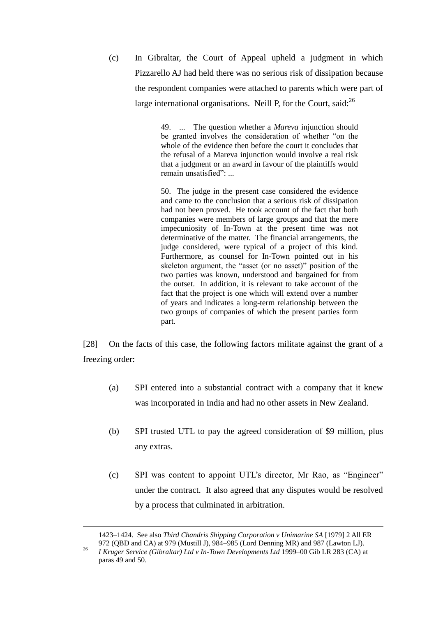(c) In Gibraltar, the Court of Appeal upheld a judgment in which Pizzarello AJ had held there was no serious risk of dissipation because the respondent companies were attached to parents which were part of large international organisations. Neill P, for the Court, said: $^{26}$ 

> 49. ... The question whether a *Mareva* injunction should be granted involves the consideration of whether "on the whole of the evidence then before the court it concludes that the refusal of a Mareva injunction would involve a real risk that a judgment or an award in favour of the plaintiffs would remain unsatisfied": ...

> 50. The judge in the present case considered the evidence and came to the conclusion that a serious risk of dissipation had not been proved. He took account of the fact that both companies were members of large groups and that the mere impecuniosity of In-Town at the present time was not determinative of the matter. The financial arrangements, the judge considered, were typical of a project of this kind. Furthermore, as counsel for In-Town pointed out in his skeleton argument, the "asset (or no asset)" position of the two parties was known, understood and bargained for from the outset. In addition, it is relevant to take account of the fact that the project is one which will extend over a number of years and indicates a long-term relationship between the two groups of companies of which the present parties form part.

[28] On the facts of this case, the following factors militate against the grant of a freezing order:

- (a) SPI entered into a substantial contract with a company that it knew was incorporated in India and had no other assets in New Zealand.
- (b) SPI trusted UTL to pay the agreed consideration of \$9 million, plus any extras.
- (c) SPI was content to appoint UTL's director, Mr Rao, as "Engineer" under the contract. It also agreed that any disputes would be resolved by a process that culminated in arbitration.

<sup>1423–1424.</sup> See also *Third Chandris Shipping Corporation v Unimarine SA* [1979] 2 All ER 972 (QBD and CA) at 979 (Mustill J), 984–985 (Lord Denning MR) and 987 (Lawton LJ).

<sup>26</sup> *I Kruger Service (Gibraltar) Ltd v In-Town Developments Ltd* 1999–00 Gib LR 283 (CA) at paras 49 and 50.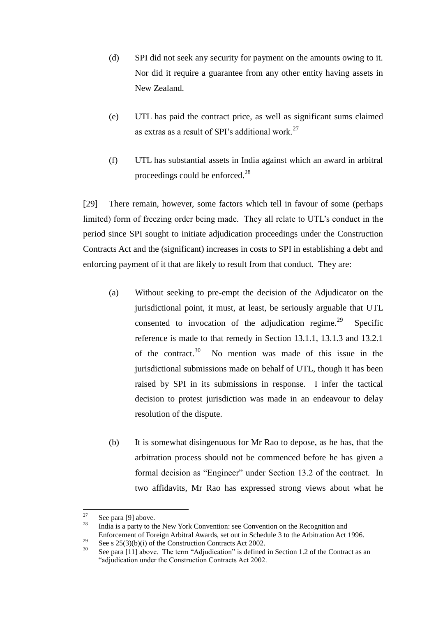- (d) SPI did not seek any security for payment on the amounts owing to it. Nor did it require a guarantee from any other entity having assets in New Zealand.
- (e) UTL has paid the contract price, as well as significant sums claimed as extras as a result of SPI's additional work.<sup>27</sup>
- (f) UTL has substantial assets in India against which an award in arbitral proceedings could be enforced.<sup>28</sup>

<span id="page-16-0"></span>[29] There remain, however, some factors which tell in favour of some (perhaps limited) form of freezing order being made. They all relate to UTL's conduct in the period since SPI sought to initiate adjudication proceedings under the Construction Contracts Act and the (significant) increases in costs to SPI in establishing a debt and enforcing payment of it that are likely to result from that conduct. They are:

- (a) Without seeking to pre-empt the decision of the Adjudicator on the jurisdictional point, it must, at least, be seriously arguable that UTL consented to invocation of the adjudication regime. $^{29}$  Specific reference is made to that remedy in Section 13.1.1, 13.1.3 and 13.2.1 of the contract.<sup>30</sup> No mention was made of this issue in the jurisdictional submissions made on behalf of UTL, though it has been raised by SPI in its submissions in response. I infer the tactical decision to protest jurisdiction was made in an endeavour to delay resolution of the dispute.
- (b) It is somewhat disingenuous for Mr Rao to depose, as he has, that the arbitration process should not be commenced before he has given a formal decision as "Engineer" under Section 13.2 of the contract. In two affidavits, Mr Rao has expressed strong views about what he

<sup>27</sup>  $\frac{27}{28}$  See para [\[9\]](#page-3-1) above.

India is a party to the New York Convention: see Convention on the Recognition and Enforcement of Foreign Arbitral Awards, set out in Schedule 3 to the Arbitration Act 1996.

<sup>&</sup>lt;sup>29</sup> See s 25(3)(b)(i) of the Construction Contracts Act 2002.

See para [\[11\]](#page-3-0) above. The term "Adjudication" is defined in Section 1.2 of the Contract as an "adjudication under the Construction Contracts Act 2002.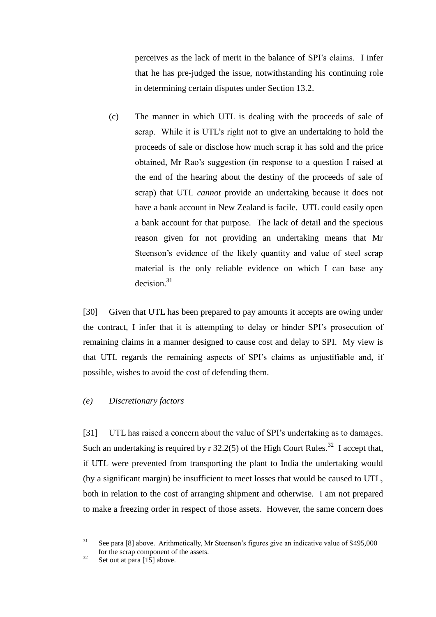perceives as the lack of merit in the balance of SPI's claims. I infer that he has pre-judged the issue, notwithstanding his continuing role in determining certain disputes under Section 13.2.

(c) The manner in which UTL is dealing with the proceeds of sale of scrap. While it is UTL's right not to give an undertaking to hold the proceeds of sale or disclose how much scrap it has sold and the price obtained, Mr Rao's suggestion (in response to a question I raised at the end of the hearing about the destiny of the proceeds of sale of scrap) that UTL *cannot* provide an undertaking because it does not have a bank account in New Zealand is facile. UTL could easily open a bank account for that purpose. The lack of detail and the specious reason given for not providing an undertaking means that Mr Steenson's evidence of the likely quantity and value of steel scrap material is the only reliable evidence on which I can base any  $decision.<sup>31</sup>$ 

[30] Given that UTL has been prepared to pay amounts it accepts are owing under the contract, I infer that it is attempting to delay or hinder SPI's prosecution of remaining claims in a manner designed to cause cost and delay to SPI. My view is that UTL regards the remaining aspects of SPI's claims as unjustifiable and, if possible, wishes to avoid the cost of defending them.

## *(e) Discretionary factors*

[31] UTL has raised a concern about the value of SPI's undertaking as to damages. Such an undertaking is required by  $r$  32.2(5) of the High Court Rules.<sup>32</sup> I accept that, if UTL were prevented from transporting the plant to India the undertaking would (by a significant margin) be insufficient to meet losses that would be caused to UTL, both in relation to the cost of arranging shipment and otherwise. I am not prepared to make a freezing order in respect of those assets. However, the same concern does

<sup>31</sup> See para [\[8\]](#page-2-0) above. Arithmetically, Mr Steenson's figures give an indicative value of \$495,000 for the scrap component of the assets.

 $32$  Set out at par[a \[15\]](#page-9-0) above.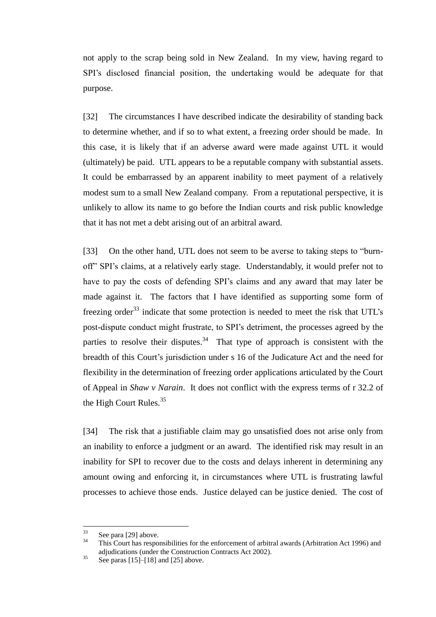not apply to the scrap being sold in New Zealand. In my view, having regard to SPI's disclosed financial position, the undertaking would be adequate for that purpose.

[32] The circumstances I have described indicate the desirability of standing back to determine whether, and if so to what extent, a freezing order should be made. In this case, it is likely that if an adverse award were made against UTL it would (ultimately) be paid. UTL appears to be a reputable company with substantial assets. It could be embarrassed by an apparent inability to meet payment of a relatively modest sum to a small New Zealand company. From a reputational perspective, it is unlikely to allow its name to go before the Indian courts and risk public knowledge that it has not met a debt arising out of an arbitral award.

[33] On the other hand, UTL does not seem to be averse to taking steps to "burnoff" SPI's claims, at a relatively early stage. Understandably, it would prefer not to have to pay the costs of defending SPI's claims and any award that may later be made against it. The factors that I have identified as supporting some form of freezing order<sup>33</sup> indicate that some protection is needed to meet the risk that UTL's post-dispute conduct might frustrate, to SPI's detriment, the processes agreed by the parties to resolve their disputes.<sup>34</sup> That type of approach is consistent with the breadth of this Court's jurisdiction under s 16 of the Judicature Act and the need for flexibility in the determination of freezing order applications articulated by the Court of Appeal in *Shaw v Narain*. It does not conflict with the express terms of r 32.2 of the High Court Rules.<sup>35</sup>

[34] The risk that a justifiable claim may go unsatisfied does not arise only from an inability to enforce a judgment or an award. The identified risk may result in an inability for SPI to recover due to the costs and delays inherent in determining any amount owing and enforcing it, in circumstances where UTL is frustrating lawful processes to achieve those ends. Justice delayed can be justice denied. The cost of

<sup>33</sup>  $rac{33}{34}$  See para [\[29\]](#page-16-0) above.

<sup>34</sup> This Court has responsibilities for the enforcement of arbitral awards (Arbitration Act 1996) and adjudications (under the Construction Contracts Act 2002).

 $35$  See paras [\[15\]–](#page-9-0)[\[18\]](#page-11-0) and [\[25\]](#page-13-0) above.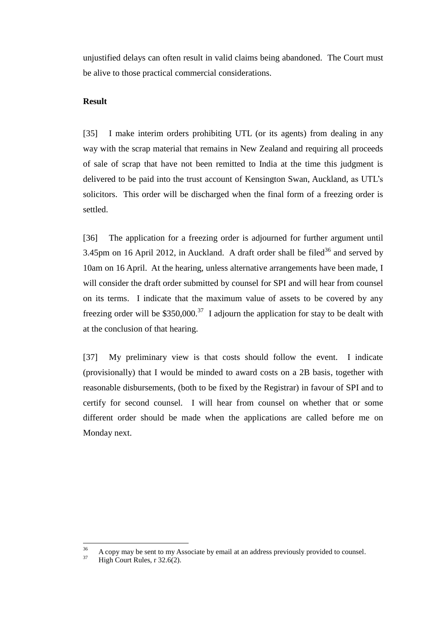unjustified delays can often result in valid claims being abandoned. The Court must be alive to those practical commercial considerations.

## **Result**

[35] I make interim orders prohibiting UTL (or its agents) from dealing in any way with the scrap material that remains in New Zealand and requiring all proceeds of sale of scrap that have not been remitted to India at the time this judgment is delivered to be paid into the trust account of Kensington Swan, Auckland, as UTL's solicitors. This order will be discharged when the final form of a freezing order is settled.

[36] The application for a freezing order is adjourned for further argument until 3.45pm on 16 April 2012, in Auckland. A draft order shall be filed<sup>36</sup> and served by 10am on 16 April. At the hearing, unless alternative arrangements have been made, I will consider the draft order submitted by counsel for SPI and will hear from counsel on its terms. I indicate that the maximum value of assets to be covered by any freezing order will be  $$350,000$ .<sup>37</sup> I adjourn the application for stay to be dealt with at the conclusion of that hearing.

[37] My preliminary view is that costs should follow the event. I indicate (provisionally) that I would be minded to award costs on a 2B basis, together with reasonable disbursements, (both to be fixed by the Registrar) in favour of SPI and to certify for second counsel. I will hear from counsel on whether that or some different order should be made when the applications are called before me on Monday next.

<sup>36</sup>  $\frac{36}{37}$  A copy may be sent to my Associate by email at an address previously provided to counsel.

High Court Rules, r 32.6(2).